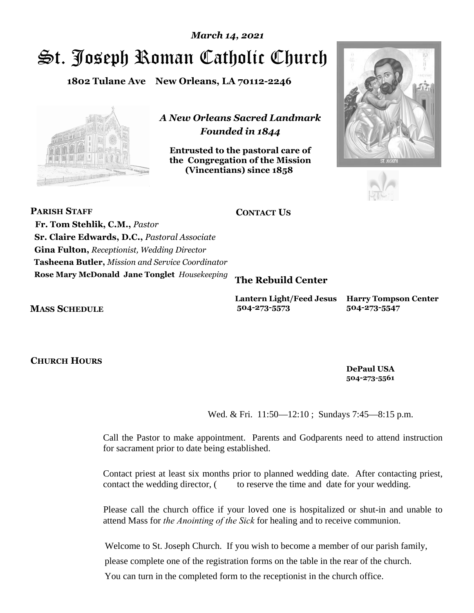# St. Joseph Roman Catholic Church *March 14, 2021*

**1802 Tulane Ave New Orleans, LA 70112-2246**



*A New Orleans Sacred Landmark Founded in 1844* 

**Entrusted to the pastoral care of the Congregation of the Mission (Vincentians) since 1858**.





| PARISH STAFF                                        | <b>CONTACT US</b> |                                                |
|-----------------------------------------------------|-------------------|------------------------------------------------|
| Fr. Tom Stehlik, C.M., Pastor                       | Church:           | 504-522-3186; 522-3187                         |
| <b>Sr. Claire Edwards, D.C., Pastoral Associate</b> | Church Fax:       | 504-522-3171                                   |
| <b>Gina Fulton, Receptionist, Wedding Director</b>  | E-mail Address:   | stjoseph@bellsouth.net                         |
| Tasheena Butler, Mission and Service Coordinator    | Website Address:  | www.stjosephchurch-no.org                      |
| Rose Mary McDonald, Jane Tonglet, Housekeeping      |                   | The Rebuild Center 1803 Gravier St., NO, 70112 |

#### **MASS SCHEDULE**

Sunday Masses: 10 a.m. & 8:30 p.m. Weekday Masses: 12:15 p.m.

### **CHURCH HOURS**

Mondays thru Fridays: 9:00 a.m. to 2:00 p.m. One hour before each Sunday Mass

# **Lantern Light/Feed Jesus Harry Tompson Center**

Birth Certificate Assist. Mon. Showers, Restroom Facilities Mail, M-F 9-10 am Legal Aid Mon/Wed 8am ID Assist. Tues. 8am Phones; Notary T, W, Th 12:15 Lunch—Daily M-F 12:45 pm Computer Wed. 9:30-11:30 Resume Typing: Thurs. Medical Services, Mental

Health, Hygiene Kits, **DePaul USA**  Emergency groceries **504-273-5561** & financial assistance Housing w/ case mgt.<br>for area residents Fransportation for area residents

# **504-273-5573 504-273-5547**

**Sacrament of Reconciliation (Confessions):** Wed. & Fri. 11:50—12:10 ; Sundays 7:45—8:15 p.m.

- **Baptisms** Call the Pastor to make appointment. Parents and Godparents need to attend instruction for sacrament prior to date being established.
- **Weddings** Contact priest at least six months prior to planned wedding date. After contacting priest, contact the wedding director, (x141) to reserve the time and date for your wedding.
- **Ministry to Sick** Please call the church office if your loved one is hospitalized or shut-in and unable to attend Mass for *the Anointing of the Sick* for healing and to receive communion.
- **New Parishioners** Welcome to St. Joseph Church. If you wish to become a member of our parish family, please complete one of the registration forms on the table in the rear of the church. You can turn in the completed form to the receptionist in the church office.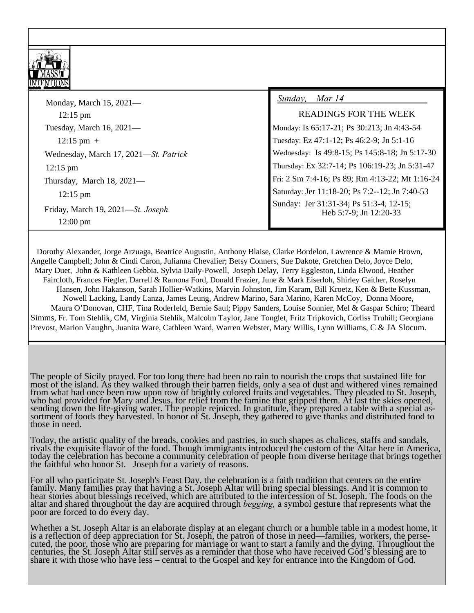# **Fourth Sunday Of Lent** March 14, 2021



### **10:00 am + Rosalie Blady; + Jacqulyn Saulney; + Pirjo Bragge**

 **8:30 pm** *St. Joseph Parishioners and Benefactors*

| Monday, March 15, 2021-                                                         | Sunday, Mar 14, One in Faith $\#989$                              |
|---------------------------------------------------------------------------------|-------------------------------------------------------------------|
| 12:15 pm + Ernestine V. Reed; Souls in Purgatory                                | <b>READINGS FOR THE WEEK</b>                                      |
| Tuesday, March 16, $2021-$                                                      | Monday: Is 65:17-21; Ps 30:213; Jn 4:43-54                        |
| $12:15$ pm + Mary Mangiaracina; Antoney D' Alfonso                              | Tuesday: Ez 47:1-12; Ps 46:2-9; Jn 5:1-16                         |
| Wednesday, March 17, 2021—St. Patrick                                           | Wednesday: Is 49:8-15; Ps 145:8-18; Jn 5:17-30                    |
| 12:15 pm Souls in Purgatory; + Bryan Garcia                                     | Thursday: Ex 32:7-14; Ps 106:19-23; Jn 5:31-47                    |
| Thursday, March $18, 2021$ —                                                    | Fri: 2 Sm 7:4-16; Ps 89; Rm 4:13-22; Mt 1:16-24                   |
| 12:15 pm Brian D' Alfonso; Bette & Ken Kussman                                  | Saturday: Jer 11:18-20; Ps 7:2--12; Jn 7:40-53                    |
| Friday, March 19, 2021—St. Joseph<br>12:00 pm All Devotees of St. Joseph, P & B | Sunday: Jer 31:31-34; Ps 51:3-4, 12-15;<br>Heb 5:7-9; Jn 12:20-33 |

#### **YOUR PRAYERS ARE ASKED FOR THE FOLLOWING PARISHIONERS , WHO ARE IN NEED OF HEALING:**

 Dorothy Alexander, Jorge Arzuaga, Beatrice Augustin, Anthony Blaise, Clarke Bordelon, Lawrence & Mamie Brown, Angelle Campbell; John & Cindi Caron, Julianna Chevalier; Betsy Conners, Sue Dakote, Gretchen Delo, Joyce Delo, Mary Duet, John & Kathleen Gebbia, Sylvia Daily-Powell, Joseph Delay, Terry Eggleston, Linda Elwood, Heather Faircloth, Frances Fiegler, Darrell & Ramona Ford, Donald Frazier, June & Mark Eiserloh, Shirley Gaither, Roselyn Hansen, John Hakanson, Sarah Hollier-Watkins, Marvin Johnston, Jim Karam, Bill Kroetz, Ken & Bette Kussman, Nowell Lacking, Landy Lanza, James Leung, Andrew Marino, Sara Marino, Karen McCoy, Donna Moore, Maura O'Donovan, CHF, Tina Roderfeld, Bernie Saul; Pippy Sanders, Louise Sonnier, Mel & Gaspar Schiro; Theard Simms, Fr. Tom Stehlik, CM, Virginia Stehlik, Malcolm Taylor, Jane Tonglet, Fritz Tripkovich, Corliss Truhill; Georgiana Prevost, Marion Vaughn, Juanita Ware, Cathleen Ward, Warren Webster, Mary Willis, Lynn Williams, C & JA Slocum.

### **St. Joseph Altar** Catholic Tradition **Catholic Tradition**

The people of Sicily prayed. For too long there had been no rain to nourish the crops that sustained life for most of the island. As they walked through their barren fields, only a sea of dust and withered vines remained from what had once been row upon row of brightly colored fruits and vegetables. They pleaded to St. Joseph, who had provided for Mary and Jesus, for relief from the famine that gripped them. At last the skies opened, sendi those in need.

Today, the artistic quality of the breads, cookies and pastries, in such shapes as chalices, staffs and sandals, rivals the exquisite flavor of the food. Though immigrants introduced the custom of the Altar here in America, today the celebration has become a community celebration of people from diverse heritage that brings together the faithful who honor St. Joseph for a variety of reasons.

For all who participate St. Joseph's Feast Day, the celebration is a faith tradition that centers on the entire family. Many families pray that having a St. Joseph Altar will bring special blessings. And it is common to hear stories about blessings received, which are attributed to the intercession of St. Joseph. The foods on the<br>altar and shared throughout the day are acquired through *begging*, a symbol gesture that represents what the<br>

Whether a St. Joseph Altar is an elaborate display at an elegant church or a humble table in a modest home, it is a reflection of deep appreciation for St. Joseph, the patron of those in need—families, workers, the perse-<br>cuted, the poor, those who are preparing for marriage or want to start a family and the dying. Throughout the<br>c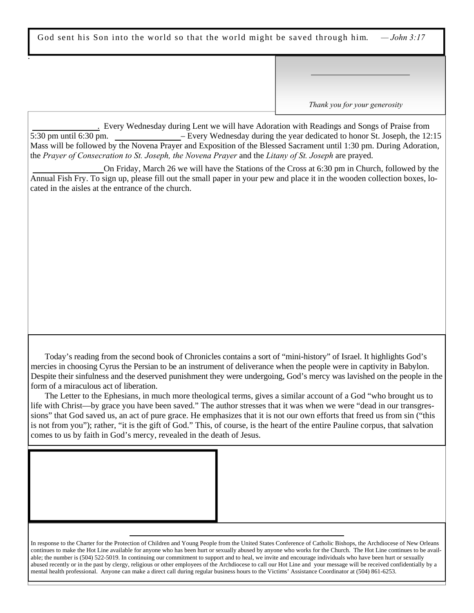God sent his Son into the world so that the world might be saved through him. *— John 3:17*

**TREASURE & STEWARDSHIP March 7, Parish..…………\$ 5,395.00 Capital Campaign………..28,288.00** *Thank you for your generosity*

 **Lenten Adoration**. Every Wednesday during Lent we will have Adoration with Readings and Songs of Praise from 5:30 pm until 6:30 pm. **Year of St. Joseph**– Every Wednesday during the year dedicated to honor St. Joseph, the 12:15 Mass will be followed by the Novena Prayer and Exposition of the Blessed Sacrament until 1:30 pm. During Adoration, the *Prayer of Consecration to St. Joseph, the Novena Prayer* and the *Litany of St. Joseph* are prayed.

**Way of the Cross—**On Friday, March 26 we will have the Stations of the Cross at 6:30 pm in Church, followed by the Annual Fish Fry. To sign up, please fill out the small paper in your pew and place it in the wooden collection boxes, located in the aisles at the entrance of the church.

#### **GOD'S MERCY**

ľ

I !<br>.

> Today's reading from the second book of Chronicles contains a sort of "mini-history" of Israel. It highlights God's mercies in choosing Cyrus the Persian to be an instrument of deliverance when the people were in captivity in Babylon. Despite their sinfulness and the deserved punishment they were undergoing, God's mercy was lavished on the people in the form of a miraculous act of liberation.

 The Letter to the Ephesians, in much more theological terms, gives a similar account of a God "who brought us to life with Christ—by grace you have been saved." The author stresses that it was when we were "dead in our transgressions" that God saved us, an act of pure grace. He emphasizes that it is not our own efforts that freed us from sin ("this is not from you"); rather, "it is the gift of God." This, of course, is the heart of the entire Pauline corpus, that salvation comes to us by faith in God's mercy, revealed in the death of Jesus.

#### **CHARTER FOR THE PROTECTION OF CHILDREN AND YOUNG PEOPLE**

In response to the Charter for the Protection of Children and Young People from the United States Conference of Catholic Bishops, the Archdiocese of New Orleans continues to make the Hot Line available for anyone who has been hurt or sexually abused by anyone who works for the Church. The Hot Line continues to be available; the number is (504) 522-5019. In continuing our commitment to support and to heal, we invite and encourage individuals who have been hurt or sexually abused recently or in the past by clergy, religious or other employees of the Archdiocese to call our Hot Line and your message will be received confidentially by a mental health professional. Anyone can make a direct call during regular business hours to the Victims' Assistance Coordinator at (504) 861-6253.